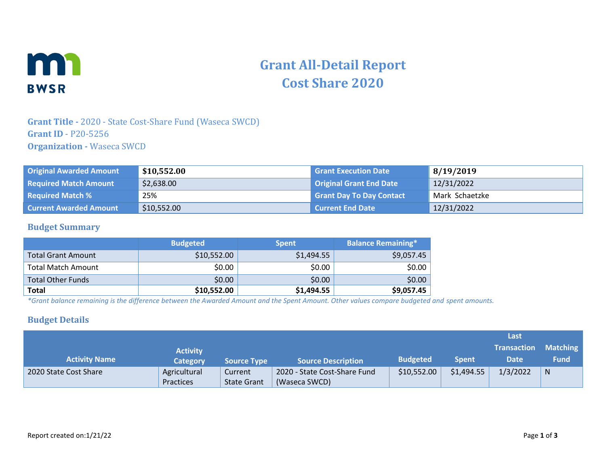

# **Grant All-Detail Report Cost Share 2020**

## **Grant Title -** 2020 - State Cost-Share Fund (Waseca SWCD) **Grant ID** - P20-5256 **Organization -** Waseca SWCD

| <b>Original Awarded Amount</b> | \$10,552.00 | <b>Grant Execution Date</b>     | 8/19/2019      |
|--------------------------------|-------------|---------------------------------|----------------|
| <b>Required Match Amount</b>   | \$2,638.00  | Original Grant End Date         | 12/31/2022     |
| <b>Required Match %</b>        | 25%         | <b>Grant Day To Day Contact</b> | Mark Schaetzke |
| <b>Current Awarded Amount</b>  | \$10,552.00 | <b>Current End Date</b>         | 12/31/2022     |

#### **Budget Summary**

|                          | <b>Budgeted</b> | <b>Spent</b> | <b>Balance Remaining*</b> |
|--------------------------|-----------------|--------------|---------------------------|
| Total Grant Amount       | \$10,552.00     | \$1,494.55   | \$9,057.45                |
| Total Match Amount       | \$0.00          | \$0.00       | \$0.00                    |
| <b>Total Other Funds</b> | \$0.00          | \$0.00       | \$0.00                    |
| <b>Total</b>             | \$10,552.00     | \$1,494.55   | \$9,057.45                |

*\*Grant balance remaining is the difference between the Awarded Amount and the Spent Amount. Other values compare budgeted and spent amounts.*

#### **Budget Details**

|                       |                 |                    |                              |                 |              | Last               |                 |
|-----------------------|-----------------|--------------------|------------------------------|-----------------|--------------|--------------------|-----------------|
|                       | <b>Activity</b> |                    |                              |                 |              | <b>Transaction</b> | <b>Matching</b> |
| <b>Activity Name</b>  | <b>Category</b> | <b>Source Type</b> | <b>Source Description</b>    | <b>Budgeted</b> | <b>Spent</b> | <b>Date</b>        | <b>Fund</b>     |
| 2020 State Cost Share | Agricultural    | Current            | 2020 - State Cost-Share Fund | \$10,552.00     | \$1,494.55   | 1/3/2022           | N               |
|                       | Practices       | <b>State Grant</b> | (Waseca SWCD)                |                 |              |                    |                 |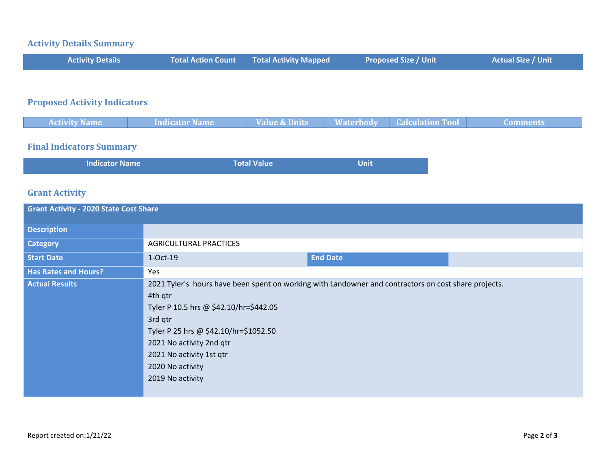# **Activity Details Summary**

| <b>Activity Details</b> | <b>Total Action Count Total Activity Mapped</b> | <b>Proposed Size / Unit</b> | <b>Actual Size / Unit</b> |
|-------------------------|-------------------------------------------------|-----------------------------|---------------------------|
|                         |                                                 |                             |                           |

# **Proposed Activity Indicators**

| <i>Materhody</i><br>e & Units<br>Indicator Name<br><b>Activity Name</b><br>oulation Too<br>$\mathbf{m}$ |  |  |  |
|---------------------------------------------------------------------------------------------------------|--|--|--|
|                                                                                                         |  |  |  |

### **Final Indicators Summary**

| <b>Indicator Name</b> | Total Value | <b>Unit</b> |
|-----------------------|-------------|-------------|
|                       |             |             |

# **Grant Activity**

| <b>Grant Activity - 2020 State Cost Share</b> |                                                                                                                                                                                                                                                                                                               |                 |  |  |
|-----------------------------------------------|---------------------------------------------------------------------------------------------------------------------------------------------------------------------------------------------------------------------------------------------------------------------------------------------------------------|-----------------|--|--|
| <b>Description</b>                            |                                                                                                                                                                                                                                                                                                               |                 |  |  |
| <b>Category</b>                               | <b>AGRICULTURAL PRACTICES</b>                                                                                                                                                                                                                                                                                 |                 |  |  |
| <b>Start Date</b>                             | 1-Oct-19                                                                                                                                                                                                                                                                                                      | <b>End Date</b> |  |  |
| <b>Has Rates and Hours?</b>                   | Yes                                                                                                                                                                                                                                                                                                           |                 |  |  |
| <b>Actual Results</b>                         | 2021 Tyler's hours have been spent on working with Landowner and contractors on cost share projects.<br>4th qtr<br>Tyler P 10.5 hrs @ \$42.10/hr=\$442.05<br>3rd qtr<br>Tyler P 25 hrs @ \$42.10/hr=\$1052.50<br>2021 No activity 2nd qtr<br>2021 No activity 1st qtr<br>2020 No activity<br>2019 No activity |                 |  |  |